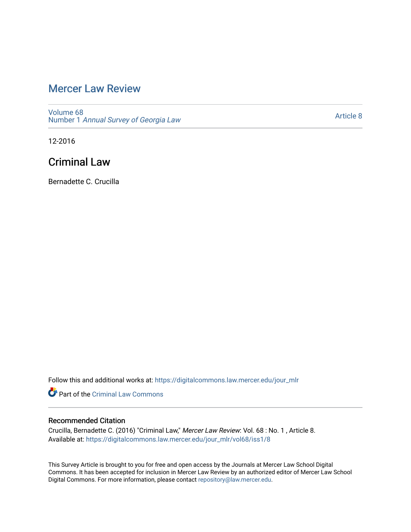# [Mercer Law Review](https://digitalcommons.law.mercer.edu/jour_mlr)

[Volume 68](https://digitalcommons.law.mercer.edu/jour_mlr/vol68) Number 1 [Annual Survey of Georgia Law](https://digitalcommons.law.mercer.edu/jour_mlr/vol68/iss1) 

[Article 8](https://digitalcommons.law.mercer.edu/jour_mlr/vol68/iss1/8) 

12-2016

# Criminal Law

Bernadette C. Crucilla

Follow this and additional works at: [https://digitalcommons.law.mercer.edu/jour\\_mlr](https://digitalcommons.law.mercer.edu/jour_mlr?utm_source=digitalcommons.law.mercer.edu%2Fjour_mlr%2Fvol68%2Fiss1%2F8&utm_medium=PDF&utm_campaign=PDFCoverPages)

Part of the [Criminal Law Commons](http://network.bepress.com/hgg/discipline/912?utm_source=digitalcommons.law.mercer.edu%2Fjour_mlr%2Fvol68%2Fiss1%2F8&utm_medium=PDF&utm_campaign=PDFCoverPages) 

# Recommended Citation

Crucilla, Bernadette C. (2016) "Criminal Law," Mercer Law Review: Vol. 68 : No. 1 , Article 8. Available at: [https://digitalcommons.law.mercer.edu/jour\\_mlr/vol68/iss1/8](https://digitalcommons.law.mercer.edu/jour_mlr/vol68/iss1/8?utm_source=digitalcommons.law.mercer.edu%2Fjour_mlr%2Fvol68%2Fiss1%2F8&utm_medium=PDF&utm_campaign=PDFCoverPages)

This Survey Article is brought to you for free and open access by the Journals at Mercer Law School Digital Commons. It has been accepted for inclusion in Mercer Law Review by an authorized editor of Mercer Law School Digital Commons. For more information, please contact [repository@law.mercer.edu](mailto:repository@law.mercer.edu).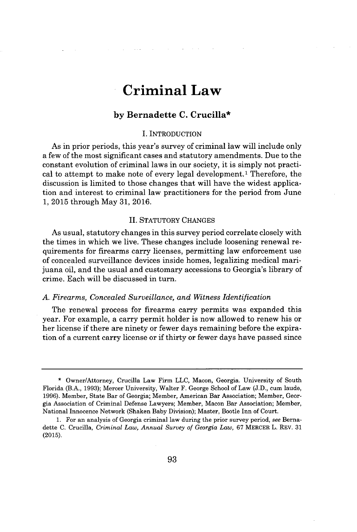# **Criminal Law**

# **by Bernadette C. Crucilla\***

# **I.** INTRODUCTION

As in prior periods, this year's survey of criminal law will include only a few of the most significant cases and statutory amendments. Due to the constant evolution of criminal laws in our society, it is simply not practical to attempt to make note of every legal development.<sup>1</sup>Therefore, the discussion is limited to those changes that will have the widest application and interest to criminal law practitioners for the period from June **1, 2015** through May **31, 2016.**

#### II. STATUTORY **CHANGES**

As usual, statutory changes in this survey period correlate closely with the times in which we live. These changes include loosening renewal requirements for firearms carry licenses, permitting law enforcement use of concealed surveillance devices inside homes, legalizing medical marijuana oil, and the usual and customary accessions to Georgia's library of crime. Each will be discussed in turn.

# *A. Firearms, Concealed Surveillance, and Witness Identification*

The renewal process for firearms carry permits was expanded this year. For example, a carry permit holder is now allowed to renew his or her license **if** there are ninety or fewer days remaining before the expiration of a current carry license or **if** thirty or fewer days have passed since

**<sup>\*</sup>** Owner/Attorney, Crucilla Law Firm **LLC,** Macon, Georgia. University of South Florida (B.A., **1993);** Mercer University, Walter F. George School of Law **(J.D.,** cum laude, **1996).** Member, State Bar of Georgia; Member, American Bar Association; Member, Georgia Association of Criminal Defense Lawyers; Member, Macon Bar Association; Member, National Innocence Network (Shaken Baby Division); Master, Bootle Inn of Court.

**<sup>1.</sup>** For an analysis of Georgia criminal law during the prior survey period, *see* Bernadette **C.** Crucilla, *Criminal Law, Annual Survey of Georgia Law,* **67** MERCER L. REV. **31 (2015).**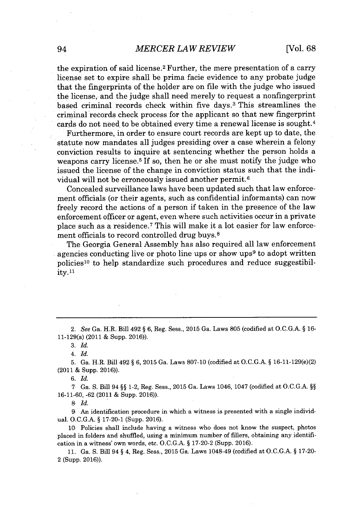# *MERCER LAW REVIEW* 94 [Vol. **68**

the expiration of said license.<sup>2</sup> Further, the mere presentation of a carry license set to expire shall be prima facie evidence to any probate judge that the fingerprints of the holder are on file with the judge who issued the license, and the judge shall need merely to request a nonfingerprint based criminal records check within five days.<sup>3</sup>This streamlines the criminal records check process for the applicant so that new fingerprint cards do not need to be obtained every time a renewal license is sought.<sup>4</sup>

Furthermore, in order to ensure court records are kept up to date, the statute now mandates all judges presiding over a case wherein a felony conviction results to inquire at sentencing whether the person holds a weapons carry license.<sup>5</sup>**If so,** then he or she must notify the judge who issued the license of the change in conviction status such that the individual will not be erroneously issued another permit.<sup>6</sup>

Concealed surveillance laws have been updated such that law enforcement officials (or their agents, such as confidential informants) can now freely record the actions of a person if taken in the presence of the law enforcement officer or agent, even where such activities occur in a private place such as a residence.<sup>7</sup>This will make it a lot easier for law enforcement officials to record controlled drug buys.<sup>8</sup>

The Georgia General Assembly has also required all law enforcement agencies conducting live or photo line ups or show ups<sup>9</sup> to adopt written policies<sup>10</sup> to help standardize such procedures and reduce suggestibility. <sup>11</sup>

2. *See Ga.* H.R. Bill 492 **§ 6,** Reg. Sess., **2015** Ga. Laws **805** (codified at **O.C.G.A. § 16-** 11-129(a) (2011 **&** Supp. **2016)).**

**3.** *Id.*

4. *Id.*

**5.** Ga. H.R. Bill 492 **§ 6, 2015** Ga. Laws **807-10** (codified at **O.C.G.A. §** 16-11-129(e)(2) (2011 **&** Supp. **2016)).**

**6.** *Id.*

**7** Ga. **S.** Bill 94 **§§** 1-2, Reg. Sess., **2015** Ga. Laws 1046, 1047 (codified at **O.C.G.A. §§ 16-11-60, -62** (2011 **&** Supp. **2016)).**

**8** *Id.*

**9** *An* identification procedure in which a witness is presented with a single individual. **O.C.G.A. § 17-20-1** (Supp. **2016).**

**10** Policies shall include having a witness who does not know the suspect, photos placed in folders and shuffled, using a minimum number of fillers, obtaining any identification in a witness' own words, etc. **O.C.G.A. § 17-20-2** (Supp. **2016).**

**11.** Ga. **S.** Bill 94 **§** 4, Reg. Sess., **2015** Ga. Laws 1048-49 (codified at **O.C.G.A. § 17-20-** 2 (Supp. **2016)).**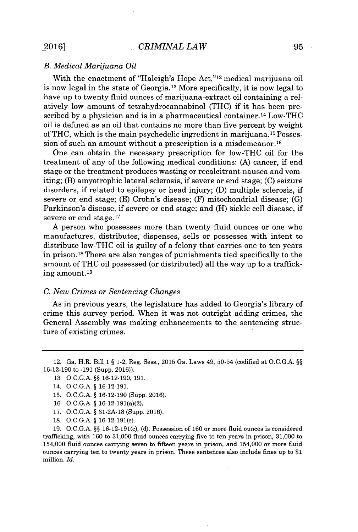## *B. Medical Marijuana Oil*

With the enactment of "Haleigh's Hope Act,"<sup>12</sup> medical marijuana oil is now legal in the state of Georgia.1<sup>3</sup>More specifically, it is now legal to have up to twenty fluid ounces of marijuana-extract oil containing a relatively low amount of tetrahydrocannabinol **(THC)** if it has been prescribed by a physician and is in a pharmaceutical container.<sup>14</sup> Low-THC oil is defined as an oil that contains no more than five percent **by** weight of **THC,** which is the main psychedelic ingredient in marijuana. **15** Possession of such an amount without a prescription is a misdemeanor.<sup>16</sup>

One can obtain the necessary prescription for low-THC oil for the treatment of any of the following medical conditions: **(A)** cancer, if end stage or the treatment produces wasting or recalcitrant nausea and vomiting; (B) amyotrophic lateral sclerosis, if severe or end stage; **(C)** seizure disorders, if related to epilepsy or head injury; **(D)** multiple sclerosis, if severe or end stage; **(E)** Crohn's disease; (F) mitochondrial disease; **(G)** Parkinson's disease, if severe or end stage; and (H) sickle cell disease, if severe or end stage.<sup>17</sup>

**A** person who possesses more than twenty fluid ounces or one who manufactures, distributes, dispenses, sells or possesses with intent to distribute low-THC oil is guilty of a felony that carries one to ten years in prison.<sup>18</sup> There are also ranges of punishments tied specifically to the amount of **THC** oil possessed (or distributed) all the way up to a trafficking amount. **<sup>19</sup>**

#### *C. New Crimes or Sentencing Changes*

As in previous years, the legislature has added to Georgia's library of crime this survey period. When it was not outright adding crimes, the General Assembly was making enhancements to the sentencing structure of existing crimes.

- **15. O.C.G.A.** *§* **16-12-190** (Supp. **2016).**
- **16 O.C.G.A.** *§* 16-12-191(a)(2).
- **17. O.C.G.A.** *§* **31-2A-18** (Supp. **2016).**
- **18. O.C.G.A.** *§* 16-12-191(c).

**19. O.C.G.A.** *§§* 16-12-191(c), **(d).** Possession of **160** or more fluid ounces is considered trafficking, with **160** to **31,000** fluid ounces carrying five to ten years in prison, **31,000** to 154,000 fluid ounces carrying seven to fifteen years in prison, and 154,000 or more fluid ounces carrying ten to twenty years in prison. These sentences also include fines up to **\$1** million. *Id.*

<sup>12.</sup> Ga. H.R. Bill **1** *§* 1-2, Reg. Sess., **2015** Ga. Laws 49, 50-54 (codified at **O.C.G.A.** *§§* **16-12-190** to **-191** (Supp. **2016)).**

**<sup>13</sup> O.C.G.A.** *§§* **16-12-190, 191.**

<sup>14.</sup> **O.C.G.A.** *§* **16-12-191.**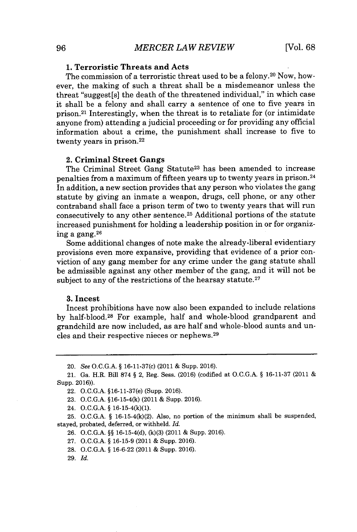# **1. Terroristic Threats and Acts**

The commission of a terroristic threat used to be a felony.<sup>20</sup> Now, however, the making of such a threat shall be a misdemeanor unless the threat "suggest[s] the death of the threatened individual," in which case it shall be a felony and shall carry a sentence of one to five years in prison.<sup>21</sup> Interestingly, when the threat is to retaliate for (or intimidate anyone from) attending a judicial proceeding or for providing any official information about a crime, the punishment shall increase to five to twenty years in prison.<sup>22</sup>

#### 2. Criminal Street Gangs

The Criminal Street Gang Statute<sup>23</sup> has been amended to increase penalties from a maximum of fifteen years up to twenty years in prison.<sup>24</sup> In addition, a new section provides that any person who violates the gang statute **by** giving an inmate a weapon, drugs, cell phone, or any other contraband shall face a prison term of two to twenty years that will run consecutively to any other sentence. <sup>25</sup>Additional portions of the statute increased punishment for holding a leadership position in or for organizing a gang. <sup>26</sup>

Some additional changes of note make the already-liberal evidentiary provisions even more expansive, providing that evidence of a prior conviction of any gang member for any crime under the gang statute shall be admissible against any other member of the gang, and it will not be subject to any of the restrictions of the hearsay statute.<sup>27</sup>

#### **3.** Incest

Incest prohibitions have now also been expanded to include relations by half-blood.<sup>28</sup> For example, half and whole-blood grandparent and grandchild are now included, as are half and whole-blood aunts and uncles and their respective nieces or nephews. <sup>29</sup>

- **23. O.C.G.A. §16-15-4(k)** (2011 **&** Supp. **2016).**
- 24. **O.C.G.A. § 16-15-4(k)(1).**

**25. O.C.G.A. § 16-15-4(k)(2).** Also, no portion of the minimum shall be suspended, stayed, probated, deferred, or withheld. *Id.*

- **26. O.C.G.A. §§ 16-15-4(d), (k)(3)** (2011 **&** Supp. **2016).**
- **27. O.C.G.A. § 16-15-9** (2011 **&** Supp. **2016).**
- **28. O.C.G.A. § 16-6-22** (2011 **&** Supp. **2016).**
- **29.** *Id.*

<sup>20.</sup> *See* **O.C.G.A. §** 16-11-37(c) (2011 **&** Supp. **2016).**

<sup>21.</sup> Ga. H.R. Bill **874 §** 2, Reg. Sess. **(2016)** (codified at **O.C.G.A. § 16-11-37** (2011 Supp. **2016)).**

<sup>22.</sup> **O.C.G.A.** §16-11-37(e) (Supp. **2016).**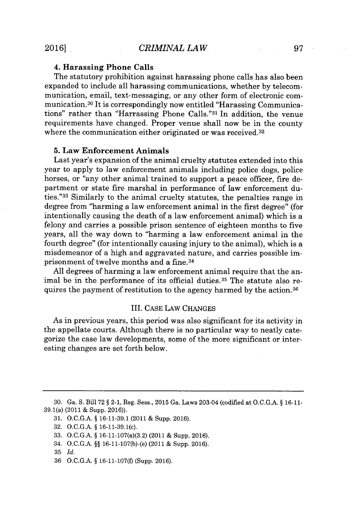#### 4. Harassing Phone Calls

The statutory prohibition against harassing phone calls has also been expanded to include all harassing communications, whether **by** telecommunication, email, text-messaging, or any other form of electronic communication. <sup>30</sup>It is correspondingly now entitled "Harassing Communications" rather than "Harrassing Phone Calls."<sup>31</sup> In addition, the venue requirements have changed. Proper venue shall now be in the county where the communication either originated or was received.<sup>32</sup>

# **5.** Law Enforcement Animals

Last year's expansion of the animal cruelty statutes extended into this year to apply to law enforcement animals including police dogs, police horses, or "any other animal trained to support a peace officer, fire department or state fire marshal in performance of law enforcement duties."<sup>33</sup> Similarly to the animal cruelty statutes, the penalties range in degree from "harming a law enforcement animal in the first degree" (for intentionally causing the death of a law enforcement animal) which is a felony and carries a possible prison sentence of eighteen months to five years, all the way down to "harming a law enforcement animal in the fourth degree" (for intentionally causing injury to the animal), which is a misdemeanor of a high and aggravated nature, and carries possible imprisonment of twelve months and a fine. <sup>34</sup>

**All** degrees of harming a law enforcement animal require that the animal be in the performance of its official duties.<sup>35</sup> The statute also requires the payment of restitution to the agency harmed **by** the action.36

## III. **CASE** LAw **CHANGES**

As in previous years, this period was also significant for its activity in the appellate courts. Although there is no particular way to neatly categorize the case law developments, some of the more significant or interesting changes are set forth below.

**<sup>30.</sup>** Ga. **S.** Bill **72 §** 2-1, Reg. Sess., **2015** Ga. Laws 203-04 (codified at **O.C.G.A. § 16-11-** 39.1(a) (2011 **&** Supp. **2016)).**

**<sup>31.</sup> O.C.G.A. § 16-11-39.1** (2011 **&** Supp. **2016).**

**<sup>32.</sup> O.C.G.A. §** 16-11-39.1(c).

**<sup>33.</sup> O.C.G.A. §** 16-11-107(a)(3.2) (2011 **&** Supp. **2016).**

<sup>34.</sup> **O.C.G.A. §§** 16-11-107(b)-(e) (2011 **&** Supp. **2016).**

**<sup>35</sup>** *Id.*

**<sup>36</sup> O.C.G.A. § 16-11-107(f)** (Supp. **2016).**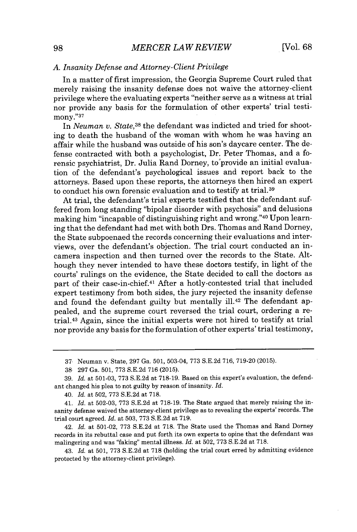#### *A. Insanity Defense and Attorney-Client Privilege*

In a matter of first impression, the Georgia Supreme Court ruled that merely raising the insanity defense does not waive the attorney-client privilege where the evaluating experts "neither serve as a witness at trial nor provide any basis for the formulation of other experts' trial testimony."<sup>37</sup>

In *Neuman v. State,<sup>38</sup>*the defendant was indicted and tried for shooting to death the husband of the woman with whom he was having an affair while the husband was outside of his son's daycare center. The defense contracted with both a psychologist, Dr. Peter Thomas, and a forensic psychiatrist, Dr. Julia Rand Dorney, to provide an initial evaluation of the defendant's psychological issues and report back to the attorneys. Based upon these reports, the attorneys then hired an expert to conduct his own forensic evaluation and to testify at trial.<sup>39</sup>

At trial, the defendant's trial experts testified that the defendant suffered from long standing "bipolar disorder with psychosis" and delusions making him "incapable of distinguishing right and wrong."<sup>40</sup> Upon learning that the defendant had met with both Drs. Thomas and Rand Dorney, the State subpoenaed the records concerning their evaluations and interviews, over the defendant's objection. The trial court conducted an incamera inspection and then turned over the records to the State. Although they never intended to have these doctors testify, in light of the courts' rulings on the evidence, the State decided to call the doctors as part of their case-in-chief.41 After a hotly-contested trial that included expert testimony from both sides, the jury rejected the insanity defense and found the defendant guilty but mentally ill.<sup>42</sup> The defendant appealed, and the supreme court reversed the trial court, ordering a retrial.<sup>43</sup>Again, since the initial experts were not hired to testify at trial nor provide any basis for the formulation of other experts' trial testimony,

42. *Id.* at **501-02, 773 S.E.2d** at **718.** The State used the Thomas and Rand Dorney records in its rebuttal case and put forth its own experts to opine that the defendant was malingering and was "faking" mental illness. *Id.* at **502, 773 S.E.2d** at **718.**

43. *Id.* at **501, 773 S.E.2d** at **718** (holding the trial court erred **by** admitting evidence protected **by** the attorney-client privilege).

**<sup>37</sup>** Neuman v. State, **297** Ga. **501,** 503-04, **773 S.E.2d 716, 719-20 (2015).**

**<sup>38 297</sup>** Ga. **501, 773 S.E.2d 716 (2015).**

**<sup>39.</sup>** *Id.* at **501-03, 773 S.E.2d** at **718-19.** Based on this expert's evaluation, the defendant changed his plea to not guilty **by** reason of insanity. *Id.*

<sup>40.</sup> *Id.* at **502, 773 S.E.2d** at **718.**

<sup>41.</sup> *Id.* at **502-03, 773 S.E.2d** at **718-19.** The State argued that merely raising the insanity defense waived the attorney-client privilege as to revealing the experts' records. The trial court agreed. *Id.* at **503, 773 S.E.2d** at **719.**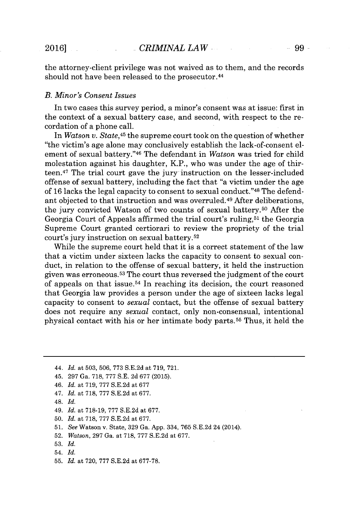the attorney-client privilege was not waived as to them, and the records should not have been released to the prosecutor. <sup>44</sup>

#### *B. Minor's Consent Issues*

In two cases this survey period, a minor's consent was at issue: first in the context of a sexual battery case, and second, with respect to the recordation of a phone call.

In *Watson v. State,<sup>45</sup>*the supreme court took on the question of whether "the victim's age alone may conclusively establish the lack-of-consent element of sexual battery."<sup>46</sup> The defendant in *Watson* was tried for child molestation against his daughter, K.P., who was under the age of thirteen.<sup>47</sup>The trial court gave the jury instruction on the lesser-included offense of sexual battery, including the fact that "a victim under the age of **16** lacks the legal capacity to consent to sexual conduct." <sup>48</sup>The defendant objected to that instruction and was overruled.<sup>49</sup> After deliberations, the jury convicted Watson of two counts of sexual battery.<sup>50</sup> After the Georgia Court of Appeals affirmed the trial court's ruling,<sup>51</sup> the Georgia Supreme Court granted certiorari to review the propriety of the trial court's jury instruction on sexual battery.<sup>52</sup>

While the supreme court held that it is a correct statement of the law that a victim under sixteen lacks the capacity to consent to sexual conduct, in relation to the offense of sexual battery, it held the instruction given was erroneous.<sup>53</sup> The court thus reversed the judgment of the court of appeals on that issue.<sup>54</sup>In reaching its decision, the court reasoned that Georgia law provides a person under the age of sixteen lacks legal capacity to consent to *sexual* contact, but the offense of sexual battery does not require any *sexual* contact, only non-consensual, intentional physical contact with his or her intimate body parts.<sup>55</sup>Thus, it held the

- 47. *Id.* at **718, 777 S.E.2d** at **677.**
- 48. *Id.*
- 49. *Id.* at **718-19, 777 S.E.2d** at **677.**
- **50.** *Id.* at **718, 777 S.E.2d** at **677.**
- **51.** *See* Watson v. State, **329** Ga. **App.** 334, **765 S.E.2d** 24 (2014).
- **52.** *Watson,* **297** Ga. at **718, 777 S.E.2d** at **677.**
- **53.** *Id.*
- 54. *Id.*
- **55.** *Id.* at **720, 777 S.E.2d** at **677-78.**

*<sup>44.</sup> Id.* at **503, 506, 773 S.E.2d** at **719, 721.**

<sup>45.</sup> **297** Ga. **718, 777 S.E. 2d 677 (2015).**

*<sup>46.</sup> Id.* at **719, 777 S.E.2d** at **677**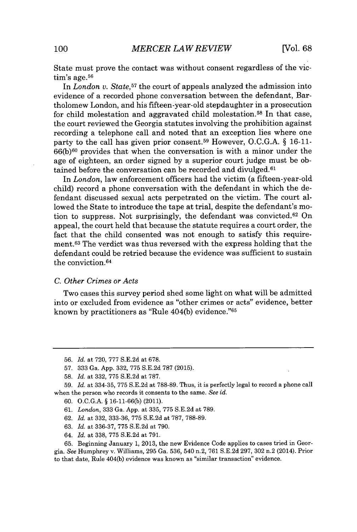State must prove the contact was without consent regardless of the vic- $\textrm{tim's age.}^{56}$ 

In *London v. State,<sup>57</sup>*the court of appeals analyzed the admission into evidence of a recorded phone conversation between the defendant, Bartholomew London, and his fifteen-year-old stepdaughter in a prosecution for child molestation and aggravated child molestation.<sup>58</sup> In that case, the court reviewed the Georgia statutes involving the prohibition against recording a telephone call and noted that an exception lies where one party to the call has given prior consent.<sup>59</sup>However, **O.C.G.A. § 16-11-**  $66(b)^{60}$  provides that when the conversation is with a minor under the age of eighteen, an order signed **by** a superior court judge must be obtained before the conversation can be recorded and divulged. $61$ 

In *London,* law enforcement officers had the victim (a fifteen-year-old child) record a phone conversation with the defendant in which the defendant discussed sexual acts perpetrated on the victim. The court allowed the State to introduce the tape at trial, despite the defendant's motion to suppress. Not surprisingly, the defendant was convicted.  $62$  On appeal, the court held that because the statute requires a court order, the fact that the child consented was not enough to satisfy this requirement.<sup>63</sup> The verdict was thus reversed with the express holding that the defendant could be retried because the evidence was sufficient to sustain the conviction. <sup>64</sup>

## *C. Other Crimes or Acts*

Two cases this survey period shed some light on what will be admitted into or excluded from evidence as "other crimes or acts" evidence, better known **by** practitioners as "Rule 404(b) evidence."<sup>65</sup>

- **61.** *London,* **333** Ga. **App.** at **335, 775 S.E.2d** at **789.**
- **62.** *Id.* at **332, 333-36, 775 S.E.2d** at **787, 788-89.**
- **63.** *Id.* at **336-37, 775 S.E.2d** at **790.**
- 64. *Id.* at **338, 775 S.E.2d** at **791.**

**65.** Beginning January **1, 2013,** the new Evidence Code applies to cases tried in Georgia. See Humphrey v. Williams, **295** Ga. **536,** 540 n.2, **761 S.E.2d 297, 302** n.2 (2014). Prior to that date, Rule 404(b) evidence was known as "similar transaction" evidence.

**<sup>56.</sup>** *Id. at* **720, 777 S.E.2d** at **678.**

**<sup>57. 333</sup>** Ga. **App. 332, 775 S.E.2d 787 (2015).**

**<sup>58.</sup>** *Id. at* **332, 775 S.E.2d** at **787.**

**<sup>59.</sup>** *Id. at* **334-35, 775 S.E.2d** at **788-89.** Thus, it is perfectly legal to record a phone call when the person who records it consents to the same. *See id.*

**<sup>60.</sup> O.C.G.A. § 16-11-66(b)** (2011).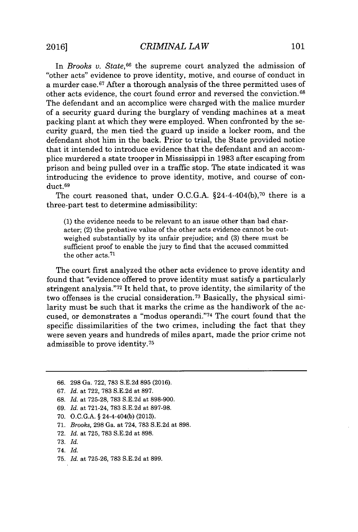In *Brooks v. State*,<sup>66</sup> the supreme court analyzed the admission of "other acts" evidence to prove identity, motive, and course of conduct in a murder case.<sup>67</sup> After a thorough analysis of the three permitted uses of other acts evidence, the court found error and reversed the conviction.<sup>68</sup> The defendant and an accomplice were charged with the malice murder of a security guard during the burglary of vending machines at a meat packing plant at which they were employed. When confronted **by** the security guard, the men tied, the guard up inside a locker room, and the defendant shot him in the back. Prior to trial, the State provided notice that it intended to introduce evidence that the defendant and an accomplice murdered a state trooper in Mississippi in **1983** after escaping from prison and being pulled over in a traffic stop. The state indicated it was introducing the evidence to prove identity, motive, and course of conduct.69

The court reasoned that, under O.C.G.A.  $$24-4-404(b).$ <sup>70</sup> there is a three-part test to determine admissibility:

**(1)** the evidence needs to be relevant to an issue other than bad character; (2) the probative value of the other acts evidence cannot be outweighed substantially **by** its unfair prejudice; and **(3)** there must be sufficient proof to enable the jury to find that the accused committed the other acts.<sup>71</sup>

The court first analyzed the other acts evidence to prove identity and found that "evidence offered to prove identity must satisfy a particularly stringent analysis."<sup>72</sup> It held that, to prove identity, the similarity of the two offenses is the crucial consideration.<sup>73</sup> Basically, the physical similarity must be such that it marks the crime as the handiwork of the accused, or demonstrates a "modus operandi."<sup>74</sup> The court found that the specific dissimilarities of the two crimes, including the fact that they were seven years and hundreds of miles apart, made the prior crime not admissible to prove identity.<sup>75</sup>

- **66. 298** Ga. **722, 783 S.E.2d 895 (2016).**
- *67. Id.* at **722, 783 S.E.2d** at **897.**
- **68.** *Id.* at **725-28, 783 S.E.2d** at **898-900.**
- *69. Id.* at 721-24, **783 S.E.2d** at **897-98.**
- **70. O.C.G.A. §** 24-4-404(b) **(2013).**
- **71.** Brooks, **298** Ga. at 724, **783 S.E.2d** at **898.**
- **72.** *Id.* at **725, 783 S.E.2d** at **898.**
- **73.** *Id.*

**75.** *Id.* at **725-26, 783 S.E.2d** at **899.**

<sup>74.</sup> *Id.*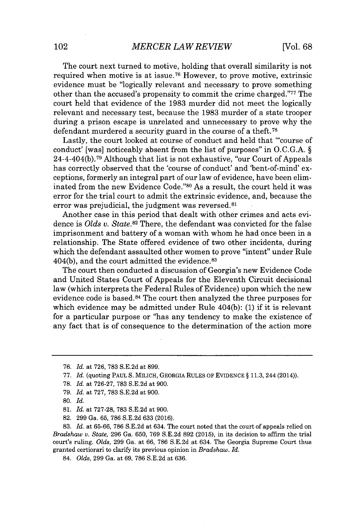The court next turned to motive, holding that overall similarity is not required when motive is at issue.<sup>76</sup> However, to prove motive, extrinsic evidence must be "logically relevant and necessary to prove something other than the accused's propensity to commit the crime charged."<sup>77</sup> The court held that evidence of the **1983** murder did not meet the logically relevant and necessary test, because the **1983** murder of a state trooper during a prison escape is unrelated and unnecessary to prove why the defendant murdered a security guard in the course of a theft.<sup>78</sup>

Lastly, the court looked at course of conduct and held that "'course of conduct' [was] noticeably absent from the list of purposes" in **O.C.G.A. §** 24-4-404(b).<sup>7</sup> 9 Although that list is not exhaustive, "our Court of Appeals has correctly observed that the 'course of conduct' and 'bent-of-mind' exceptions, formerly an integral part of our law of evidence, have been eliminated from the new Evidence Code."80 As a result, the court held it was error for the trial court to admit the extrinsic evidence, and, because the error was prejudicial, the judgment was reversed.<sup>81</sup>

Another case in this period that dealt with other crimes and acts evidence is *Olds v. State.<sup>82</sup>*There, the defendant was convicted for the false imprisonment and battery of a woman with whom he had once been in a relationship. The State offered evidence of two other incidents, during which the defendant assaulted other women to prove "intent" under Rule 404(b), and the court admitted the evidence. <sup>83</sup>

The court then conducted a discussion of Georgia's new Evidence Code and United States Court of Appeals for the Eleventh Circuit decisional law (which interprets the Federal Rules of Evidence) upon which the new evidence code is based.<sup>84</sup> The court then analyzed the three purposes for which evidence may be admitted under Rule 404(b): **(1)** if it is relevant for a particular purpose or "has any tendency to make the existence of any fact that is of consequence to the determination of the action more

**79.** *Id.* at **727, 783 S.E.2d** at **900.**

**83.** *Id.* at **65-66, 786 S.E.2d** at 634. The court noted that the court of appeals relied on *Bradshaw v. State,* **296** Ga. **650, 769 S.E.2d 892 (2015),** in its decision to affirm the trial court's ruling. *Olds,* **299** Ga. at **66, 786 S.E.2d** at 634. The Georgia Supreme Court thus granted certiorari to clarify its previous opinion in *Bradshaw. Id.*

84. *Olds,* **299** Ga. at **69, 786 S.E.2d** at **636.**

*<sup>76.</sup> Id.* at **726, 783 S.E.2d** at **899.**

**<sup>77.</sup>** *Id.* (quoting PAUL **S.** MILICH, GEORGIA **RULES** OF EVIDENCE **§ 11.3,** 244 (2014)).

**<sup>78.</sup>** *Id.* at **726-27, 783 S.E.2d** at **900.**

**<sup>80.</sup>** *Id.*

**<sup>81.</sup>** *Id.* at **727-28, 783 S.E.2d** at **900.**

**<sup>82. 299</sup>** Ga. **65, 786 S.E.2d 633 (2016).**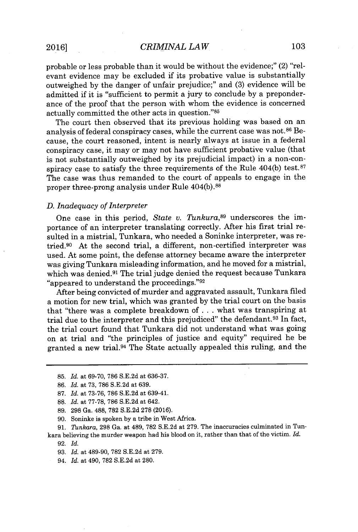probable or less probable than it would be without the evidence;" (2) "relevant evidence may be excluded if its probative value is substantially outweighed **by** the danger of unfair prejudice;" and **(3)** evidence will be admitted if it is "sufficient to permit a jury to conclude **by** a preponderance of the proof that the person with whom the evidence is concerned actually committed the other acts in question."85

The court then observed that its previous holding was based on an analysis of federal conspiracy cases, while the current case was not.<sup>86</sup> Because, the court reasoned, intent is nearly always at issue in a federal conspiracy case, it may or may not have sufficient probative value (that is not substantially outweighed **by** its prejudicial impact) in a non-conspiracy case to satisfy the three requirements of the Rule  $404(b)$  test.<sup>87</sup> The case was thus remanded to the court of appeals to engage in the proper three-prong analysis under Rule 404(b).<sup>88</sup>

#### *D. Inadequacy of Interpreter*

One case in this period, *State v. Tunkura*<sup>89</sup> underscores the importance of an interpreter translating correctly. After his first trial resulted in a mistrial, Tunkara, who needed a Soninke interpreter, was retried.<sup>90</sup> At the second trial, a different, non-certified interpreter was used. At some point, the defense attorney became aware the interpreter was giving Tunkara misleading information, and he moved for a mistrial, which was denied.<sup>91</sup> The trial judge denied the request because Tunkara "appeared to understand the proceedings."<sup>92</sup>

After being convicted of murder and aggravated assault, Tunkara filed a motion for new trial, which was granted **by** the trial court on the basis that "there was a complete breakdown of **.** . **.** what was transpiring at trial due to the interpreter and this prejudiced" the defendant.<sup>93</sup> In fact, the trial court found that Tunkara did not understand what was going on at trial and "the principles of justice and equity" required he be granted a new trial.<sup>94</sup>The State actually appealed this ruling, and the

- **88.** *Id.* at **77-78, 786 S.E.2d** at 642.
- **89. 298** Ga. **488, 782 S.E.2d 278 (2016).**
- **90.** Soninke is spoken **by** a tribe in West Africa.

**91.** *Tunkara,* **298** Ga. at 489, **782 S.E.2d** at **279.** The inaccuracies culminated in Tunkara believing the murder weapon had his blood on it, rather than that of the victim. *Id.* **92.** *Id.*

**93.** *Id.* at 489-90, **782 S.E.2d** at **279.**

94. *Id.* at 490, **782 S.E.2d** at **280.**

**<sup>85.</sup>** *Id.* at **69-70, 786 S.E.2d** at **636-37.**

**<sup>86.</sup>** *Id.* at **73, 786 S.E.2d** at **639.**

**<sup>87.</sup>** *Id.* at **73-76, 786 S.E.2d** at 639-41.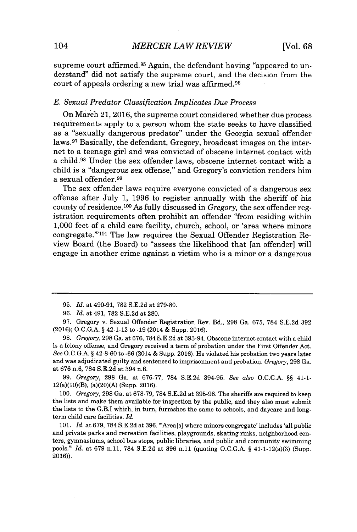supreme court affirmed.<sup>95</sup> Again, the defendant having "appeared to understand" did not satisfy the supreme court, and the decision from the court of appeals ordering a new trial was affirmed.<sup>96</sup>

## *E. Sexual Predator Classification Implicates Due Process*

On March 21, **2016,** the supreme court considered whether due process requirements apply to a person whom the state seeks to have classified as a "sexually dangerous predator" under the Georgia sexual offender laws.<sup>97</sup> Basically, the defendant, Gregory, broadcast images on the internet to a teenage girl and was convicted of obscene internet contact with a child.<sup>98</sup> Under the sex offender laws, obscene internet contact with a child is a "dangerous sex offense," and Gregory's conviction renders him a sexual offender.<sup>99</sup>

The sex offender laws require everyone convicted of a dangerous sex offense after July **1, 1996** to register annually with the sheriff of his county of residence.<sup>100</sup> As fully discussed in *Gregory*, the sex offender registration requirements often prohibit an offender "from residing within **1,000** feet of a child care facility, church, school, or 'area where minors congregate."<sup>'101</sup> The law requires the Sexual Offender Registration Review Board (the Board) to "assess the likelihood that [an offender] will engage in another crime against a victim who is a minor or a dangerous

*99. Gregory,* **298** Ga. at **676-77, 784 S.E.2d 394-95.** *See also* **O.C.G.A. §§** 41-1- 12(a)(10)(B), (a)(20)(A) (Supp. **2016).**

*100. Gregory,* **298** Ga. at **678-79, 784 S.E.2d** at **395-96.** The sheriffs are required to keep the lists and make them available for inspection **by** the public, and they also must submit the lists to the G.B.I which, in turn, furnishes the same to schools, and daycare and longterm child care facilities. *Id.*

*101. Id.* at **679, 784 S.E.2d** at **396.** '"Area[s] where minors congregate' includes 'all public and private parks and recreation facilities, playgrounds, skating rinks, neighborhood centers, gymnasiums, school bus stops, public libraries, and public and community swimming pools."' *Id.* at **679** n.11, **784 S.E.2d** at **396** n.11 (quoting **O.C.G.A. §** 41-1-12(a)(3) (Supp. **2016)).**

**<sup>95.</sup>** *Id.* at 490-91, **782 S.E.2d** at **279-80.**

*<sup>96.</sup> Id.* at 491, **782 S.E.2d** at **280.**

**<sup>97.</sup>** Gregory v. Sexual Offender Registration Rev. Bd., **298** Ga. **675, 784 S.E.2d 392 (2016); O.C.G.A. §** 42-1-12 to **-19** (2014 **&** Supp. **2016).**

*<sup>98.</sup> Gregory,* **298** Ga. at **676, 784 S.E.2d** at 393-94. Obscene internet contact with a child is a felony offense, and Gregory received a term of probation under the First Offender Act. *See* **O.C.G.A. §** 42-8-60 to **-66** (2014 **&** Supp. **2016).** He violated his probation two years later and was adjudicated guilty and sentenced to imprisonment and probation. *Gregory,* **298** Ga. at **676** n.6, **784 S.E.2d** at 394 n.6.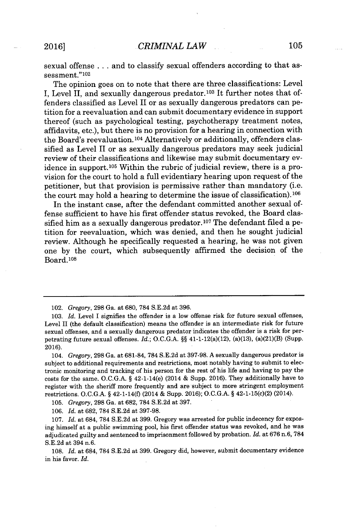sexual offense **.** . **.** and to classify sexual offenders according to that assessment."<sup>102</sup>

The opinion goes on to note that there are three classifications: Level **I,** Level II, and sexually dangerous predator.103 It further notes that offenders classified as Level II or as sexually dangerous predators can petition for a reevaluation and can submit documentary evidence in support thereof (such as psychological testing, psychotherapy treatment notes, affidavits, etc.), but there is no provision for a hearing in connection with the Board's reevaluation.<sup>104</sup> Alternatively or additionally, offenders classified as Level II or as sexually dangerous predators may seek judicial review of their classifications and likewise may submit documentary evidence in support.<sup>105</sup> Within the rubric of judicial review, there is a provision for the court to hold a full evidentiary hearing upon request of the petitioner, but that provision is permissive rather than mandatory (i.e. the court may hold a hearing to determine the issue of classification). <sup>106</sup>

In the instant case, after the defendant committed another sexual offense sufficient to have his first offender status revoked, the Board classified him as a sexually dangerous predator.<sup>107</sup> The defendant filed a petition for reevaluation, which was denied, and then he sought judicial review. Although he specifically requested a hearing, he was not given one **by** the court, which subsequently affirmed the decision of the Board.10<sup>8</sup>

*104. Gregory,* **298** Ga. at **681-84, 784 S.E.2d** at **397-98. A** sexually dangerous predator is subject to additional requirements and restrictions, most notably having to submit to electronic monitoring and tracking of his person for the rest of his life and having to pay the costs for the same. **O.C.G.A. §** 42-1-14(e) (2014 **&** Supp. **2016).** They additionally have to register with the sheriff more frequently and are subject to more stringent employment restrictions. **O.C.G.A. §** 42-1-14(f) (2014 **&** Supp. **2016); O.C.G.A. §** 42-1-15(c)(2) (2014).

*105. Gregory,* **298** Ga. at **682, 784 S.E.2d** at **397.**

**106.** *Id.* at **682, 784 S.E.2d** at **397-98.**

**107.** *Id.* at 684, **784 S.E.2d** at **399.** Gregory was arrested for public indecency for exposing himself at a public swimming pool, his first offender status was revoked, and he was adjudicated guilty and sentenced to imprisonment followed **by** probation. *Id.* at **676** n.6, **784 S.E.2d** at 394 n.6.

**108.** *Id.* at 684, **784 S.E.2d** at **399.** Gregory did, however, submit documentary evidence in his favor. *Id.*

*<sup>102.</sup> Gregory,* **298** Ga. at **680, 784 S.E.2d** at **396.**

*<sup>103.</sup> Id.* Level **I** signifies the offender is a low offense risk for future sexual offenses, Level II (the default classification) means the offender is an intermediate risk for future sexual offenses, and a sexually dangerous predator indicates the offender is a risk for perpetrating future sexual offenses. *Id.;* **O.C.G.A. §§** 41-1-12(a)(12), (a)(13), (a)(21)(B) (Supp. **2016).**